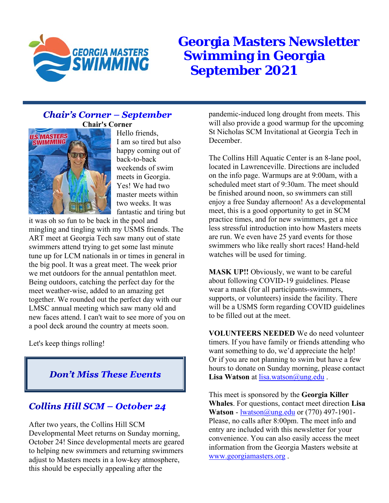

**Georgia Masters Newsletter Swimming in Georgia September 2021**

## **Chair's Corner - September Chair's Corner**



Hello friends, I am so tired but also happy coming out of back-to-back weekends of swim meets in Georgia. Yes! We had two master meets within two weeks. It was fantastic and tiring but

it was oh so fun to be back in the pool and mingling and tingling with my USMS friends. The ART meet at Georgia Tech saw many out of state swimmers attend trying to get some last minute tune up for LCM nationals in or times in general in the big pool. It was a great meet. The week prior we met outdoors for the annual pentathlon meet. Being outdoors, catching the perfect day for the meet weather-wise, added to an amazing get together. We rounded out the perfect day with our LMSC annual meeting which saw many old and new faces attend. I can't wait to see more of you on a pool deck around the country at meets soon.

Let's keep things rolling!

**Don't Miss These Events** 

## **Collins Hill SCM - October 24**

After two years, the Collins Hill SCM Developmental Meet returns on Sunday morning, October 24! Since developmental meets are geared to helping new swimmers and returning swimmers adjust to Masters meets in a low-key atmosphere, this should be especially appealing after the

pandemic-induced long drought from meets. This will also provide a good warmup for the upcoming St Nicholas SCM Invitational at Georgia Tech in December.

The Collins Hill Aquatic Center is an 8-lane pool, located in Lawrenceville. Directions are included on the info page. Warmups are at 9:00am, with a scheduled meet start of 9:30am. The meet should be finished around noon, so swimmers can still enjoy a free Sunday afternoon! As a developmental meet, this is a good opportunity to get in SCM practice times, and for new swimmers, get a nice less stressful introduction into how Masters meets are run. We even have 25 yard events for those swimmers who like really short races! Hand-held watches will be used for timing.

**MASK UP!!** Obviously, we want to be careful about following COVID-19 guidelines. Please wear a mask (for all participants-swimmers, supports, or volunteers) inside the facility. There will be a USMS form regarding COVID guidelines to be filled out at the meet.

**VOLUNTEERS NEEDED** We do need volunteer timers. If you have family or friends attending who want something to do, we'd appreciate the help! Or if you are not planning to swim but have a few hours to donate on Sunday morning, please contact Lisa Watson at **lisa**.watson@ung.edu.

This meet is sponsored by the **Georgia Killer Whales**. For questions, contact meet direction **Lisa Watson** - lwatson@ung.edu or (770) 497-1901-Please, no calls after 8:00pm. The meet info and entry are included with this newsletter for your convenience. You can also easily access the meet information from the Georgia Masters website at www.georgiamasters.org .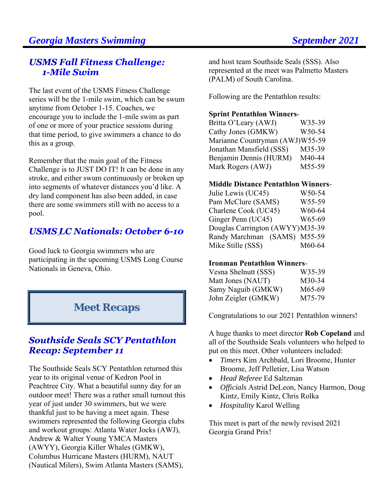# **Georgia Masters Swimming September 2021**

## **USMS Fall Fitness Challenge:** 1-Mile Suim

The last event of the USMS Fitness Challenge series will be the 1-mile swim, which can be swum anytime from October 1-15. Coaches, we encourage you to include the 1-mile swim as part of one or more of your practice sessions during that time period, to give swimmers a chance to do this as a group.

Remember that the main goal of the Fitness Challenge is to JUST DO IT! It can be done in any stroke, and either swum continuously or broken up into segments of whatever distances you'd like. A dry land component has also been added, in case there are some swimmers still with no access to a pool.

# **USMS LC Nationals: October 6-10**

Good luck to Georgia swimmers who are participating in the upcoming USMS Long Course Nationals in Geneva, Ohio.

# **Meet Recaps**

## **Southside Seals SCY Pentathlon Recap: September 11**

The Southside Seals SCY Pentathlon returned this year to its original venue of Kedron Pool in Peachtree City. What a beautiful sunny day for an outdoor meet! There was a rather small turnout this year of just under 30 swimmers, but we were thankful just to be having a meet again. These swimmers represented the following Georgia clubs and workout groups: Atlanta Water Jocks (AWJ), Andrew & Walter Young YMCA Masters (AWYY), Georgia Killer Whales (GMKW), Columbus Hurricane Masters (HURM), NAUT (Nautical Milers), Swim Atlanta Masters (SAMS),

and host team Southside Seals (SSS). Also represented at the meet was Palmetto Masters (PALM) of South Carolina.

Following are the Pentathlon results:

### **Sprint Pentathlon Winners**-

Britta O'Leary (AWJ) W35-39 Cathy Jones (GMKW) W50-54 Marianne Countryman (AWJ)W55-59 Jonathan Mansfield (SSS) M35-39 Benjamin Dennis (HURM) M40-44 Mark Rogers (AWJ) M55-59

### **Middle Distance Pentathlon Winners**-

Julie Lewis (UC45) W50-54 Pam McClure (SAMS) W55-59 Charlene Cook (UC45) W60-64 Ginger Penn (UC45) W65-69 Douglas Carrington (AWYY) M35-39 Randy Marchman (SAMS) M55-59 Mike Stille (SSS) M60-64

### **Ironman Pentathlon Winners**-

| Vesna Shelnutt (SSS) | W35-39 |
|----------------------|--------|
| Matt Jones (NAUT)    | M30-34 |
| Samy Naguib (GMKW)   | M65-69 |
| John Zeigler (GMKW)  | M75-79 |

Congratulations to our 2021 Pentathlon winners!

A huge thanks to meet director **Rob Copeland** and all of the Southside Seals volunteers who helped to put on this meet. Other volunteers included:

- *Timers* Kim Archbald, Lori Broome, Hunter Broome, Jeff Pelletier, Lisa Watson
- *Head Referee* Ed Saltzman
- *Officials* Astrid DeLeon, Nancy Harmon, Doug Kintz, Emily Kintz, Chris Rolka
- *Hospitality* Karol Welling

This meet is part of the newly revised 2021 Georgia Grand Prix!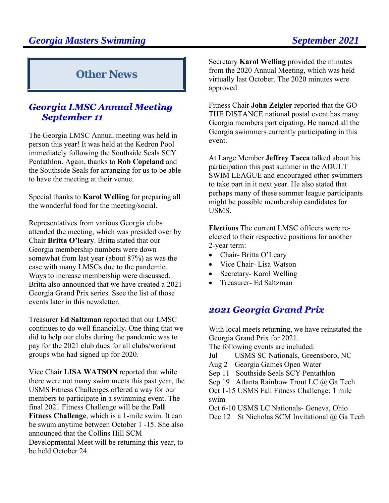# **Other News**

# **Georgia LMSC Annual Meeting September 11**

The Georgia LMSC Annual meeting was held in person this year! It was held at the Kedron Pool immediately following the Southside Seals SCY Pentathlon. Again, thanks to **Rob Copeland** and the Southside Seals for arranging for us to be able to have the meeting at their venue.

Special thanks to **Karol Welling** for preparing all the wonderful food for the meeting/social.

Representatives from various Georgia clubs attended the meeting, which was presided over by Chair **Britta O'leary**. Britta stated that our Georgia membership numbers were down somewhat from last year (about 87%) as was the case with many LMSCs due to the pandemic. Ways to increase membership were discussed. Britta also announced that we have created a 2021 Georgia Grand Prix series. Ssee the list of those events later in this newsletter.

Treasurer **Ed Saltzman** reported that our LMSC continues to do well financially. One thing that we did to help our clubs during the pandemic was to pay for the 2021 club dues for all clubs/workout groups who had signed up for 2020.

Vice Chair **LISA WATSON** reported that while there were not many swim meets this past year, the USMS Fitness Challenges offered a way for our members to participate in a swimming event. The final 2021 Fitness Challenge will be the **Fall Fitness Challenge**, which is a 1-mile swim. It can be swum anytime between October 1 -15. She also announced that the Collins Hill SCM Developmental Meet will be returning this year, to be held October 24.

Secretary **Karol Welling** provided the minutes from the 2020 Annual Meeting, which was held virtually last October. The 2020 minutes were approved.

Fitness Chair **John Zeigler** reported that the GO THE DISTANCE national postal event has many Georgia members participating. He named all the Georgia swimmers currently participating in this event.

At Large Member **Jeffrey Tacca** talked about his participation this past summer in the ADULT SWIM LEAGUE and encouraged other swimmers to take part in it next year. He also stated that perhaps many of these summer league participants might be possible membership candidates for USMS.

**Elections** The current LMSC officers were reelected to their respective positions for another 2-year term:

- Chair- Britta O'Leary
- Vice Chair- Lisa Watson
- Secretary- Karol Welling
- Treasurer- Ed Saltzman

## 2021 Georgia Grand Prix

With local meets returning, we have reinstated the Georgia Grand Prix for 2021.

The following events are included:

Jul USMS SC Nationals, Greensboro, NC

- Aug 2 Georgia Games Open Water
- Sep 11 Southside Seals SCY Pentathlon

Sep 19 Atlanta Rainbow Trout LC @ Ga Tech

Oct 1-15 USMS Fall Fitness Challenge: 1 mile swim

Oct 6-10 USMS LC Nationals- Geneva, Ohio

Dec 12 St Nicholas SCM Invitational @ Ga Tech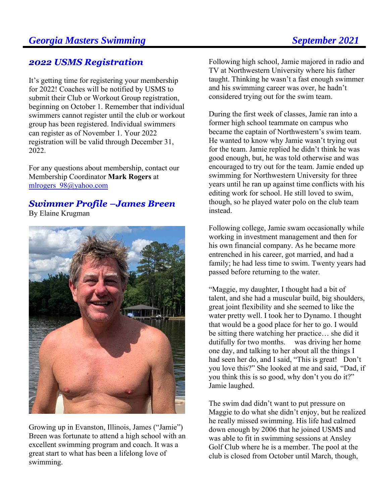## **2022 USMS Registration**

It's getting time for registering your membership for 2022! Coaches will be notified by USMS to submit their Club or Workout Group registration, beginning on October 1. Remember that individual swimmers cannot register until the club or workout group has been registered. Individual swimmers can register as of November 1. Your 2022 registration will be valid through December 31, 2022.

For any questions about membership, contact our Membership Coordinator **Mark Rogers** at mlrogers\_98@yahoo.com

## **Swimmer Profile -James Breen** By Elaine Krugman



Growing up in Evanston, Illinois, James ("Jamie") Breen was fortunate to attend a high school with an excellent swimming program and coach. It was a great start to what has been a lifelong love of swimming.

Following high school, Jamie majored in radio and TV at Northwestern University where his father taught. Thinking he wasn't a fast enough swimmer and his swimming career was over, he hadn't considered trying out for the swim team.

During the first week of classes, Jamie ran into a former high school teammate on campus who became the captain of Northwestern's swim team. He wanted to know why Jamie wasn't trying out for the team. Jamie replied he didn't think he was good enough, but, he was told otherwise and was encouraged to try out for the team. Jamie ended up swimming for Northwestern University for three years until he ran up against time conflicts with his editing work for school. He still loved to swim, though, so he played water polo on the club team instead.

Following college, Jamie swam occasionally while working in investment management and then for his own financial company. As he became more entrenched in his career, got married, and had a family; he had less time to swim. Twenty years had passed before returning to the water.

"Maggie, my daughter, I thought had a bit of talent, and she had a muscular build, big shoulders, great joint flexibility and she seemed to like the water pretty well. I took her to Dynamo. I thought that would be a good place for her to go. I would be sitting there watching her practice… she did it dutifully for two months. was driving her home one day, and talking to her about all the things I had seen her do, and I said, "This is great! Don't you love this?" She looked at me and said, "Dad, if you think this is so good, why don't you do it?" Jamie laughed.

The swim dad didn't want to put pressure on Maggie to do what she didn't enjoy, but he realized he really missed swimming. His life had calmed down enough by 2006 that he joined USMS and was able to fit in swimming sessions at Ansley Golf Club where he is a member. The pool at the club is closed from October until March, though,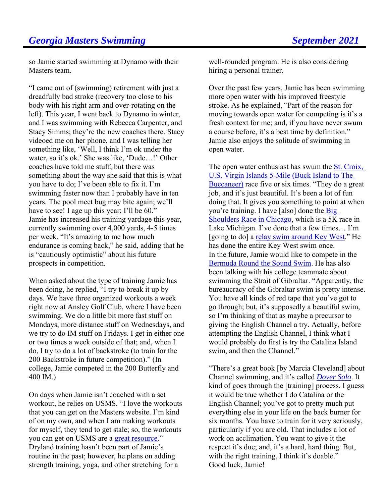so Jamie started swimming at Dynamo with their Masters team.

"I came out of (swimming) retirement with just a dreadfully bad stroke (recovery too close to his body with his right arm and over-rotating on the left). This year, I went back to Dynamo in winter, and I was swimming with Rebecca Carpenter, and Stacy Simms; they're the new coaches there. Stacy videoed me on her phone, and I was telling her something like, 'Well, I think I'm ok under the water, so it's ok.' She was like, 'Dude…!' Other coaches have told me stuff, but there was something about the way she said that this is what you have to do; I've been able to fix it. I'm swimming faster now than I probably have in ten years. The pool meet bug may bite again; we'll have to see! I age up this year; I'll be 60." Jamie has increased his training yardage this year, currently swimming over 4,000 yards, 4-5 times per week. "It's amazing to me how much endurance is coming back," he said, adding that he is "cautiously optimistic" about his future prospects in competition.

When asked about the type of training Jamie has been doing, he replied, "I try to break it up by days. We have three organized workouts a week right now at Ansley Golf Club, where I have been swimming. We do a little bit more fast stuff on Mondays, more distance stuff on Wednesdays, and we try to do IM stuff on Fridays. I get in either one or two times a week outside of that; and, when I do, I try to do a lot of backstroke (to train for the 200 Backstroke in future competition)." (In college, Jamie competed in the 200 Butterfly and 400 IM.)

On days when Jamie isn't coached with a set workout, he relies on USMS. "I love the workouts that you can get on the Masters website. I'm kind of on my own, and when I am making workouts for myself, they tend to get stale; so, the workouts you can get on USMS are a great resource." Dryland training hasn't been part of Jamie's routine in the past; however, he plans on adding strength training, yoga, and other stretching for a

well-rounded program. He is also considering hiring a personal trainer.

Over the past few years, Jamie has been swimming more open water with his improved freestyle stroke. As he explained, "Part of the reason for moving towards open water for competing is it's a fresh context for me; and, if you have never swum a course before, it's a best time by definition." Jamie also enjoys the solitude of swimming in open water.

The open water enthusiast has swum the St. Croix, U.S. Virgin Islands 5-Mile (Buck Island to The Buccaneer) race five or six times. "They do a great job, and it's just beautiful. It's been a lot of fun doing that. It gives you something to point at when you're training. I have [also] done the Big Shoulders Race in Chicago, which is a 5K race in Lake Michigan. I've done that a few times… I'm [going to do] a relay swim around Key West." He has done the entire Key West swim once. In the future, Jamie would like to compete in the Bermuda Round the Sound Swim. He has also been talking with his college teammate about swimming the Strait of Gibraltar. "Apparently, the bureaucracy of the Gibraltar swim is pretty intense. You have all kinds of red tape that you've got to go through; but, it's supposedly a beautiful swim, so I'm thinking of that as maybe a precursor to giving the English Channel a try. Actually, before attempting the English Channel, I think what I would probably do first is try the Catalina Island swim, and then the Channel."

"There's a great book [by Marcia Cleveland] about Channel swimming, and it's called *Dover Solo*. It kind of goes through the [training] process. I guess it would be true whether I do Catalina or the English Channel; you've got to pretty much put everything else in your life on the back burner for six months. You have to train for it very seriously, particularly if you are old. That includes a lot of work on acclimation. You want to give it the respect it's due; and, it's a hard, hard thing. But, with the right training, I think it's doable." Good luck, Jamie!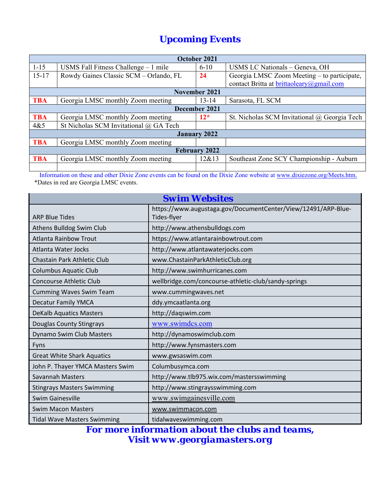# *Upcoming Events*

|                      | October 2021                           |                     |                                              |  |  |  |
|----------------------|----------------------------------------|---------------------|----------------------------------------------|--|--|--|
| $1 - 15$             | USMS Fall Fitness Challenge $-1$ mile  | $6 - 10$            | USMS LC Nationals - Geneva, OH               |  |  |  |
| $15 - 17$            | Rowdy Gaines Classic SCM - Orlando, FL | 24                  | Georgia LMSC Zoom Meeting – to participate,  |  |  |  |
|                      |                                        |                     | contact Britta at brittaoleary@gmail.com     |  |  |  |
|                      |                                        | November 2021       |                                              |  |  |  |
| <b>TBA</b>           | Georgia LMSC monthly Zoom meeting      | $13 - 14$           | Sarasota, FL SCM                             |  |  |  |
|                      | December 2021                          |                     |                                              |  |  |  |
| <b>TBA</b>           | Georgia LMSC monthly Zoom meeting      | $12*$               | St. Nicholas SCM Invitational @ Georgia Tech |  |  |  |
| 4&5                  | St Nicholas SCM Invitational @ GA Tech |                     |                                              |  |  |  |
|                      |                                        | <b>January 2022</b> |                                              |  |  |  |
| <b>TBA</b>           | Georgia LMSC monthly Zoom meeting      |                     |                                              |  |  |  |
| <b>February 2022</b> |                                        |                     |                                              |  |  |  |
| <b>TBA</b>           | Georgia LMSC monthly Zoom meeting      | 12&13               | Southeast Zone SCY Championship - Auburn     |  |  |  |
|                      |                                        |                     |                                              |  |  |  |

 Information on these and other Dixie Zone events can be found on the Dixie Zone website at www.dixiezone.org/Meets.htm. \*Dates in red are Georgia LMSC events.

| <b>Swim Websites</b>               |                                                                              |  |  |
|------------------------------------|------------------------------------------------------------------------------|--|--|
| <b>ARP Blue Tides</b>              | https://www.augustaga.gov/DocumentCenter/View/12491/ARP-Blue-<br>Tides-flyer |  |  |
| Athens Bulldog Swim Club           | http://www.athensbulldogs.com                                                |  |  |
| <b>Atlanta Rainbow Trout</b>       | https://www.atlantarainbowtrout.com                                          |  |  |
| Atlanta Water Jocks                | http://www.atlantawaterjocks.com                                             |  |  |
| Chastain Park Athletic Club        | www.ChastainParkAthleticClub.org                                             |  |  |
| <b>Columbus Aquatic Club</b>       | http://www.swimhurricanes.com                                                |  |  |
| <b>Concourse Athletic Club</b>     | wellbridge.com/concourse-athletic-club/sandy-springs                         |  |  |
| <b>Cumming Waves Swim Team</b>     | www.cummingwaves.net                                                         |  |  |
| <b>Decatur Family YMCA</b>         | ddy.ymcaatlanta.org                                                          |  |  |
| <b>DeKalb Aquatics Masters</b>     | http://daqswim.com                                                           |  |  |
| Douglas County Stingrays           | www.swimdcs.com                                                              |  |  |
| Dynamo Swim Club Masters           | http://dynamoswimclub.com                                                    |  |  |
| Fyns                               | http://www.fynsmasters.com                                                   |  |  |
| <b>Great White Shark Aquatics</b>  | www.gwsaswim.com                                                             |  |  |
| John P. Thayer YMCA Masters Swim   | Columbusymca.com                                                             |  |  |
| <b>Savannah Masters</b>            | http://www.tlb975.wix.com/mastersswimming                                    |  |  |
| <b>Stingrays Masters Swimming</b>  | http://www.stingraysswimming.com                                             |  |  |
| <b>Swim Gainesville</b>            | www.swimgainesville.com                                                      |  |  |
| <b>Swim Macon Masters</b>          | www.swimmacon.com                                                            |  |  |
| <b>Tidal Wave Masters Swimming</b> | tidalwaveswimming.com                                                        |  |  |

*For more information about the clubs and teams, Visit www.georgiamasters.org*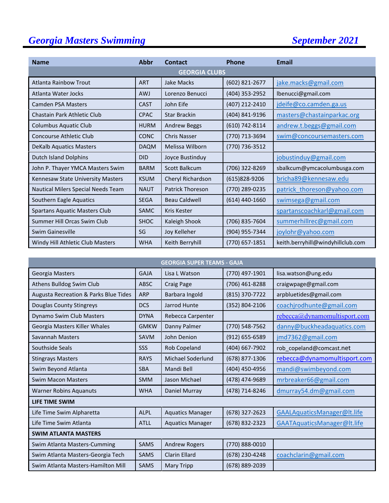# **Georgia Masters Swimming September 2021**

| <b>Name</b>                          | <b>Abbr</b> | Contact                 | Phone            | <b>Email</b>                      |  |
|--------------------------------------|-------------|-------------------------|------------------|-----------------------------------|--|
| <b>GEORGIA CLUBS</b>                 |             |                         |                  |                                   |  |
| Atlanta Rainbow Trout                | <b>ART</b>  | Jake Macks              | (602) 821-2677   | jake.macks@gmail.com              |  |
| Atlanta Water Jocks                  | <b>AWJ</b>  | Lorenzo Benucci         | (404) 353-2952   | lbenucci@gmail.com                |  |
| <b>Camden PSA Masters</b>            | <b>CAST</b> | John Eife               | (407) 212-2410   | jdeife@co.camden.ga.us            |  |
| Chastain Park Athletic Club          | <b>CPAC</b> | <b>Star Brackin</b>     | (404) 841-9196   | masters@chastainparkac.org        |  |
| <b>Columbus Aquatic Club</b>         | <b>HURM</b> | <b>Andrew Beggs</b>     | (610) 742-8114   | andrew.t.beggs@gmail.com          |  |
| Concourse Athletic Club              | <b>CONC</b> | <b>Chris Nasser</b>     | (770) 713-3694   | swim@concoursemasters.com         |  |
| <b>DeKalb Aquatics Masters</b>       | <b>DAQM</b> | Melissa Wilborn         | (770) 736-3512   |                                   |  |
| <b>Dutch Island Dolphins</b>         | <b>DID</b>  | Joyce Bustinduy         |                  | jobustinduy@gmail.com             |  |
| John P. Thayer YMCA Masters Swim     | <b>BARM</b> | Scott Balkcum           | (706) 322-8269   | sbalkcum@ymcacolumbusga.com       |  |
| Kennesaw State University Masters    | <b>KSUM</b> | Cheryl Richardson       | (615)828-9206    | bricha89@kennesaw.edu             |  |
| Nautical Milers Special Needs Team   | <b>NAUT</b> | <b>Patrick Thoreson</b> | (770) 289-0235   | patrick thoreson@yahoo.com        |  |
| Southern Eagle Aquatics              | <b>SEGA</b> | <b>Beau Caldwell</b>    | $(614)$ 440-1660 | swimsega@gmail.com                |  |
| <b>Spartans Aquatic Masters Club</b> | <b>SAMC</b> | <b>Kris Kester</b>      |                  | spartanscoachkarl@gmail.com       |  |
| Summer Hill Orcas Swim Club          | <b>SHOC</b> | Kaleigh Shook           | (706) 835-7604   | summerhillrec@gmail.com           |  |
| Swim Gainesville                     | SG          | Joy Kelleher            | (904) 955-7344   | joylohr@yahoo.com                 |  |
| Windy Hill Athletic Club Masters     | <b>WHA</b>  | Keith Berryhill         | (770) 657-1851   | keith.berryhill@windyhillclub.com |  |

| <b>GEORGIA SUPER TEAMS - GAJA</b>     |             |                         |                |                              |
|---------------------------------------|-------------|-------------------------|----------------|------------------------------|
| <b>Georgia Masters</b>                | <b>GAJA</b> | Lisa L Watson           | (770) 497-1901 | lisa.watson@ung.edu          |
| Athens Bulldog Swim Club              | <b>ABSC</b> | <b>Craig Page</b>       | (706) 461-8288 | craigwpage@gmail.com         |
| Augusta Recreation & Parks Blue Tides | <b>ARP</b>  | Barbara Ingold          | (815) 370-7722 | arpbluetides@gmail.com       |
| Douglas County Stingreys              | <b>DCS</b>  | Jarrod Hunte            | (352) 804-2106 | coachjrodhunte@gmail.com     |
| <b>Dynamo Swim Club Masters</b>       | <b>DYNA</b> | Rebecca Carpenter       |                | rebecca@dynamomultisport.com |
| Georgia Masters Killer Whales         | <b>GMKW</b> | Danny Palmer            | (770) 548-7562 | danny@buckheadaquatics.com   |
| Savannah Masters                      | <b>SAVM</b> | John Denion             | (912) 655-6589 | jmd7362@gmail.com            |
| Southside Seals                       | SSS         | Rob Copeland            | (404) 667-7902 | rob_copeland@comcast.net     |
| <b>Stingrays Masters</b>              | <b>RAYS</b> | Michael Soderlund       | (678) 877-1306 | rebecca@dynamomultisport.com |
| Swim Beyond Atlanta                   | <b>SBA</b>  | Mandi Bell              | (404) 450-4956 | mandi@swimbeyond.com         |
| <b>Swim Macon Masters</b>             | <b>SMM</b>  | Jason Michael           | (478) 474-9689 | mrbreaker66@gmail.com        |
| <b>Warner Robins Aquanuts</b>         | <b>WHA</b>  | Daniel Murray           | (478) 714-8246 | dmurray54.dm@gmail.com       |
| LIFE TIME SWIM                        |             |                         |                |                              |
| Life Time Swim Alpharetta             | <b>ALPL</b> | <b>Aquatics Manager</b> | (678) 327-2623 | GAALAquaticsManager@lt.life  |
| Life Time Swim Atlanta                | <b>ATLL</b> | <b>Aquatics Manager</b> | (678) 832-2323 | GAATAquaticsManager@lt.life  |
| <b>SWIM ATLANTA MASTERS</b>           |             |                         |                |                              |
| Swim Atlanta Masters-Cumming          | <b>SAMS</b> | <b>Andrew Rogers</b>    | (770) 888-0010 |                              |
| Swim Atlanta Masters-Georgia Tech     | <b>SAMS</b> | <b>Clarin Ellard</b>    | (678) 230-4248 | coachclarin@gmail.com        |
| Swim Atlanta Masters-Hamilton Mill    | <b>SAMS</b> | <b>Mary Tripp</b>       | (678) 889-2039 |                              |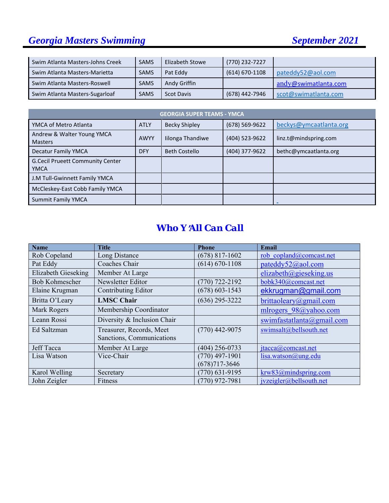# **Georgia Masters Swimming September 2021**

| Swim Atlanta Masters-Johns Creek | <b>SAMS</b> | Elizabeth Stowe   | (770) 232-7227   |                      |
|----------------------------------|-------------|-------------------|------------------|----------------------|
| Swim Atlanta Masters-Marietta    | <b>SAMS</b> | Pat Eddy          | $(614)$ 670-1108 | pateddy52@aol.com    |
| Swim Atlanta Masters-Roswell     | <b>SAMS</b> | Andy Griffin      |                  | andy@swimatlanta.com |
| Swim Atlanta Masters-Sugarloaf   | <b>SAMS</b> | <b>Scot Davis</b> | (678) 442-7946   | scot@swimatlanta.com |

| <b>GEORGIA SUPER TEAMS - YMCA</b>                      |             |                      |                |                        |  |
|--------------------------------------------------------|-------------|----------------------|----------------|------------------------|--|
| YMCA of Metro Atlanta                                  | <b>ATLY</b> | <b>Becky Shipley</b> | (678) 569-9622 | beckys@ymcaatlanta.org |  |
| Andrew & Walter Young YMCA<br><b>Masters</b>           | <b>AWYY</b> | Iilonga Thandiwe     | (404) 523-9622 | linz.t@mindspring.com  |  |
| <b>Decatur Family YMCA</b>                             | <b>DFY</b>  | <b>Beth Costello</b> | (404) 377-9622 | bethc@ymcaatlanta.org  |  |
| <b>G.Cecil Prueett Community Center</b><br><b>YMCA</b> |             |                      |                |                        |  |
| J.M Tull-Gwinnett Family YMCA                          |             |                      |                |                        |  |
| McCleskey-East Cobb Family YMCA                        |             |                      |                |                        |  |
| <b>Summit Family YMCA</b>                              |             |                      |                |                        |  |

# *Who Y*=*All Can Call*

| <b>Name</b>           | <b>Title</b>                | <b>Phone</b>       | <b>Email</b>                   |
|-----------------------|-----------------------------|--------------------|--------------------------------|
| Rob Copeland          | Long Distance               | $(678)$ 817-1602   | rob copland@comcast.net        |
| Pat Eddy              | Coaches Chair               | $(614) 670 - 1108$ | pateddy52@aol.com              |
| Elizabeth Gieseking   | Member At Large             |                    | elizabeth@gieseking.us         |
| <b>Bob Kohmescher</b> | Newsletter Editor           | $(770)$ 722-2192   | bobk340@comcast.net            |
| Elaine Krugman        | Contributing Editor         | $(678) 603 - 1543$ | ekkrugman@gmail.com            |
| Britta O'Leary        | <b>LMSC Chair</b>           | $(636)$ 295-3222   | brittaoleary@gmail.com         |
| Mark Rogers           | Membership Coordinator      |                    | mlrogers 98@yahoo.com          |
| Leann Rossi           | Diversity & Inclusion Chair |                    | swimfastatlanta@gmail.com      |
| Ed Saltzman           | Treasurer, Records, Meet    | $(770)$ 442-9075   | swimsalt@bellsouth.net         |
|                       | Sanctions, Communications   |                    |                                |
| Jeff Tacca            | Member At Large             | (404) 256-0733     | $\text{itacca}(a)$ comcast.net |
| Lisa Watson           | Vice-Chair                  | $(770)$ 497-1901   | lisa.watson@ung.edu            |
|                       |                             | $(678)717 - 3646$  |                                |
| Karol Welling         | Secretary                   | $(770)$ 631-9195   | krw83@mindspring.com           |
| John Zeigler          | Fitness                     | $(770)$ 972-7981   | ivzeigler@bellsouth.net        |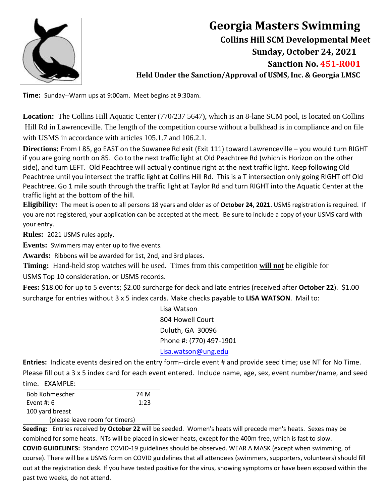

# **Georgia Masters Swimming Collins Hill SCM Developmental Meet Sunday, October 24, 2021 Sanction No. 451-R001 Held Under the Sanction/Approval of USMS, Inc. & Georgia LMSC**

**Time:** Sunday--Warm ups at 9:00am. Meet begins at 9:30am.

**Location:** The Collins Hill Aquatic Center (770/237 5647), which is an 8-lane SCM pool, is located on Collins Hill Rd in Lawrenceville. The length of the competition course without a bulkhead is in compliance and on file with USMS in accordance with articles 105.1.7 and 106.2.1.

**Directions:** From I 85, go EAST on the Suwanee Rd exit (Exit 111) toward Lawrenceville – you would turn RIGHT if you are going north on 85. Go to the next traffic light at Old Peachtree Rd (which is Horizon on the other side), and turn LEFT. Old Peachtree will actually continue right at the next traffic light. Keep following Old Peachtree until you intersect the traffic light at Collins Hill Rd. This is a T intersection only going RIGHT off Old Peachtree. Go 1 mile south through the traffic light at Taylor Rd and turn RIGHT into the Aquatic Center at the traffic light at the bottom of the hill.

**Eligibility:** The meet is open to all persons 18 years and older as of **October 24, 2021**. USMS registration is required. If you are not registered, your application can be accepted at the meet. Be sure to include a copy of your USMS card with your entry.

**Rules:** 2021 USMS rules apply.

**Events:** Swimmers may enter up to five events.

**Awards:** Ribbons will be awarded for 1st, 2nd, and 3rd places.

**Timing:** Hand-held stop watches will be used. Times from this competition **will not** be eligible for

USMS Top 10 consideration, or USMS records.

**Fees:** \$18.00 for up to 5 events; \$2.00 surcharge for deck and late entries (received after **October 22**). \$1.00 surcharge for entries without 3 x 5 index cards. Make checks payable to **LISA WATSON**. Mail to:

> Lisa Watson 804 Howell Court Duluth, GA 30096 Phone #: (770) 497-1901 Lisa.watson@ung.edu

**Entries:** Indicate events desired on the entry form--circle event # and provide seed time; use NT for No Time. Please fill out a 3 x 5 index card for each event entered. Include name, age, sex, event number/name, and seed

#### time. EXAMPLE:

| <b>Bob Kohmescher</b>          | 74 M |  |  |
|--------------------------------|------|--|--|
| Event #: $6$                   | 1:23 |  |  |
| 100 yard breast                |      |  |  |
| (please leave room for timers) |      |  |  |

**Seeding:** Entries received by **October 22** will be seeded. Women's heats will precede men's heats. Sexes may be combined for some heats. NTs will be placed in slower heats, except for the 400m free, which is fast to slow. **COVID GUIDELINES:** Standard COVID-19 guidelines should be observed. WEAR A MASK (except when swimming, of course). There will be a USMS form on COVID guidelines that all attendees (swimmers, supporters, volunteers) should fill out at the registration desk. If you have tested positive for the virus, showing symptoms or have been exposed within the past two weeks, do not attend.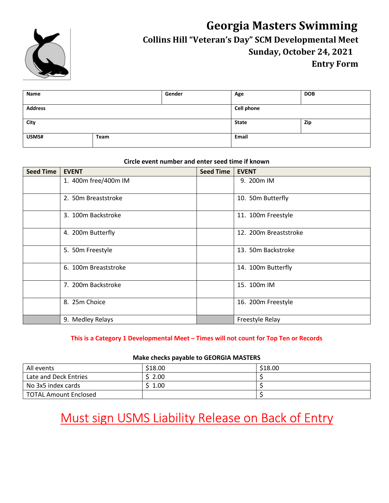

# **Georgia Masters Swimming Collins Hill "Veteran's Day" SCM Developmental Meet Sunday, October 24, 2021 Entry Form**

| Name           |      | Gender | Age               | <b>DOB</b> |
|----------------|------|--------|-------------------|------------|
| <b>Address</b> |      |        | <b>Cell phone</b> |            |
| City           |      |        | <b>State</b>      | Zip        |
| USMS#          | Team |        | Email             |            |

### **Circle event number and enter seed time if known**

| <b>Seed Time</b> | <b>EVENT</b>         | <b>Seed Time</b> | <b>EVENT</b>          |
|------------------|----------------------|------------------|-----------------------|
|                  | 1. 400m free/400m IM |                  | 9. 200m IM            |
|                  | 2. 50m Breaststroke  |                  | 10. 50m Butterfly     |
|                  | 3. 100m Backstroke   |                  | 11. 100m Freestyle    |
|                  | 4. 200m Butterfly    |                  | 12. 200m Breaststroke |
|                  | 5. 50m Freestyle     |                  | 13. 50m Backstroke    |
|                  | 6. 100m Breaststroke |                  | 14. 100m Butterfly    |
|                  | 7. 200m Backstroke   |                  | 15. 100m IM           |
|                  | 8. 25m Choice        |                  | 16. 200m Freestyle    |
|                  | 9. Medley Relays     |                  | Freestyle Relay       |

## **This is a Category 1 Developmental Meet – Times will not count for Top Ten or Records**

#### **Make checks payable to GEORGIA MASTERS**

| All events                   | \$18.00 | \$18.00 |
|------------------------------|---------|---------|
| Late and Deck Entries        | 2.00    |         |
| No 3x5 index cards           | 1.00    |         |
| <b>TOTAL Amount Enclosed</b> |         |         |

# Must sign USMS Liability Release on Back of Entry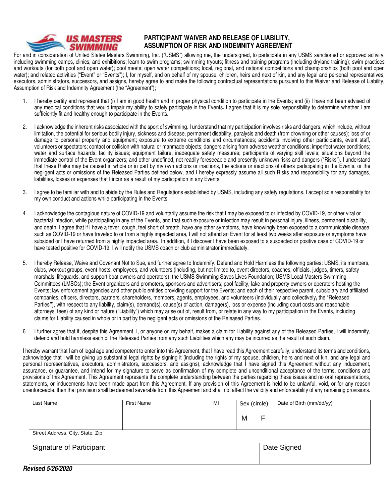

### **PARTICIPANT WAIVER AND RELEASE OF LIABILITY, ASSUMPTION OF RISK AND INDEMNITY AGREEMENT**

For and in consideration of United States Masters Swimming, Inc. ("USMS") allowing me, the undersigned, to participate in any USMS sanctioned or approved activity, including swimming camps, clinics, and exhibitions; learn-to-swim programs; swimming tryouts; fitness and training programs (including dryland training); swim practices and workouts (for both pool and open water); pool meets; open water competitions; local, regional, and national competitions and championships (both pool and open water); and related activities ("Event" or "Events"); I, for myself, and on behalf of my spouse, children, heirs and next of kin, and any legal and personal representatives, executors, administrators, successors, and assigns, hereby agree to and make the following contractual representations pursuant to this Waiver and Release of Liability, Assumption of Risk and Indemnity Agreement (the "Agreement");

- 1. I hereby certify and represent that (i) I am in good health and in proper physical condition to participate in the Events; and (ii) I have not been advised of any medical conditions that would impair my ability to safely participate in the Events**.** I agree that it is my sole responsibility to determine whether I am sufficiently fit and healthy enough to participate in the Events.
- 2. I acknowledge the inherent risks associated with the sport of swimming. I understand that my participation involves risks and dangers, which include, without limitation, the potential for serious bodily injury, sickness and disease, permanent disability, paralysis and death (from drowning or other causes); loss of or damage to personal property and equipment; exposure to extreme conditions and circumstances; accidents involving other participants, event staff, volunteers or spectators; contact or collision with natural or manmade objects; dangers arising from adverse weather conditions; imperfect water conditions; water and surface hazards; facility issues; equipment failure; inadequate safety measures; participants of varying skill levels; situations beyond the immediate control of the Event organizers; and other undefined, not readily foreseeable and presently unknown risks and dangers ("Risks"). I understand that these Risks may be caused in whole or in part by my own actions or inactions, the actions or inactions of others participating in the Events, or the negligent acts or omissions of the Released Parties defined below, and I hereby expressly assume all such Risks and responsibility for any damages, liabilities, losses or expenses that I incur as a result of my participation in any Events.
- 3. I agree to be familiar with and to abide by the Rules and Regulations established by USMS, including any safety regulations. I accept sole responsibility for my own conduct and actions while participating in the Events.
- 4. I acknowledge the contagious nature of COVID-19 and voluntarily assume the risk that I may be exposed to or infected by COVID-19, or other viral or bacterial infection, while participating in any of the Events, and that such exposure or infection may result in personal injury, illness, permanent disability, and death. I agree that if I have a fever, cough, feel short of breath, have any other symptoms, have knowingly been exposed to a communicable disease such as COVID-19 or have traveled to or from a highly impacted area, I will not attend an Event for at least two weeks after exposure or symptoms have subsided or I have returned from a highly impacted area. In addition, if I discover I have been exposed to a suspected or positive case of COVID-19 or have tested positive for COVID-19, I will notify the USMS coach or club administrator immediately.
- 5. I hereby Release, Waive and Covenant Not to Sue, and further agree to Indemnify, Defend and Hold Harmless the following parties: USMS, its members, clubs, workout groups, event hosts, employees, and volunteers (including, but not limited to, event directors, coaches, officials, judges, timers, safety marshals, lifeguards, and support boat owners and operators); the USMS Swimming Saves Lives Foundation; USMS Local Masters Swimming Committees (LMSCs); the Event organizers and promoters, sponsors and advertisers; pool facility, lake and property owners or operators hosting the Events; law enforcement agencies and other public entities providing support for the Events; and each of their respective parent, subsidiary and affiliated companies, officers, directors, partners, shareholders, members, agents, employees, and volunteers (individually and collectively**,** the "Released Parties**"**), with respect to any liability, claim(s), demand(s), cause(s) of action, damage(s), loss or expense (including court costs and reasonable attorneys' fees) of any kind or nature ("Liability") which may arise out of, result from, or relate in any way to my participation in the Events, including claims for Liability caused in whole or in part by the negligent acts or omissions of the Released Parties.
- 6. I further agree that if, despite this Agreement, I, or anyone on my behalf, makes a claim for Liability against any of the Released Parties, I will indemnify, defend and hold harmless each of the Released Parties from any such Liabilities which any may be incurred as the result of such claim.

I hereby warrant that I am of legal age and competent to enter into this Agreement, that I have read this Agreement carefully, understand its terms and conditions. acknowledge that I will be giving up substantial legal rights by signing it (including the rights of my spouse, children, heirs and next of kin, and any legal and personal representatives, executors, administrators, successors, and assigns), acknowledge that I have signed this Agreement without any inducement, assurance, or guarantee, and intend for my signature to serve as confirmation of my complete and unconditional acceptance of the terms, conditions and provisions of this Agreement. This Agreement represents the complete understanding between the parties regarding these issues and no oral representations, statements, or inducements have been made apart from this Agreement. If any provision of this Agreement is held to be unlawful, void, or for any reason unenforceable, then that provision shall be deemed severable from this Agreement and shall not affect the validity and enforceability of any remaining provisions.

| Last Name                        | <b>First Name</b> | MI | Sex (circle) |   | Date of Birth (mm/dd/yy) |  |  |
|----------------------------------|-------------------|----|--------------|---|--------------------------|--|--|
|                                  |                   |    | M            | F |                          |  |  |
| Street Address, City, State, Zip |                   |    |              |   |                          |  |  |
| Signature of Participant         |                   |    | Date Signed  |   |                          |  |  |
| $\bullet$                        |                   |    |              |   |                          |  |  |